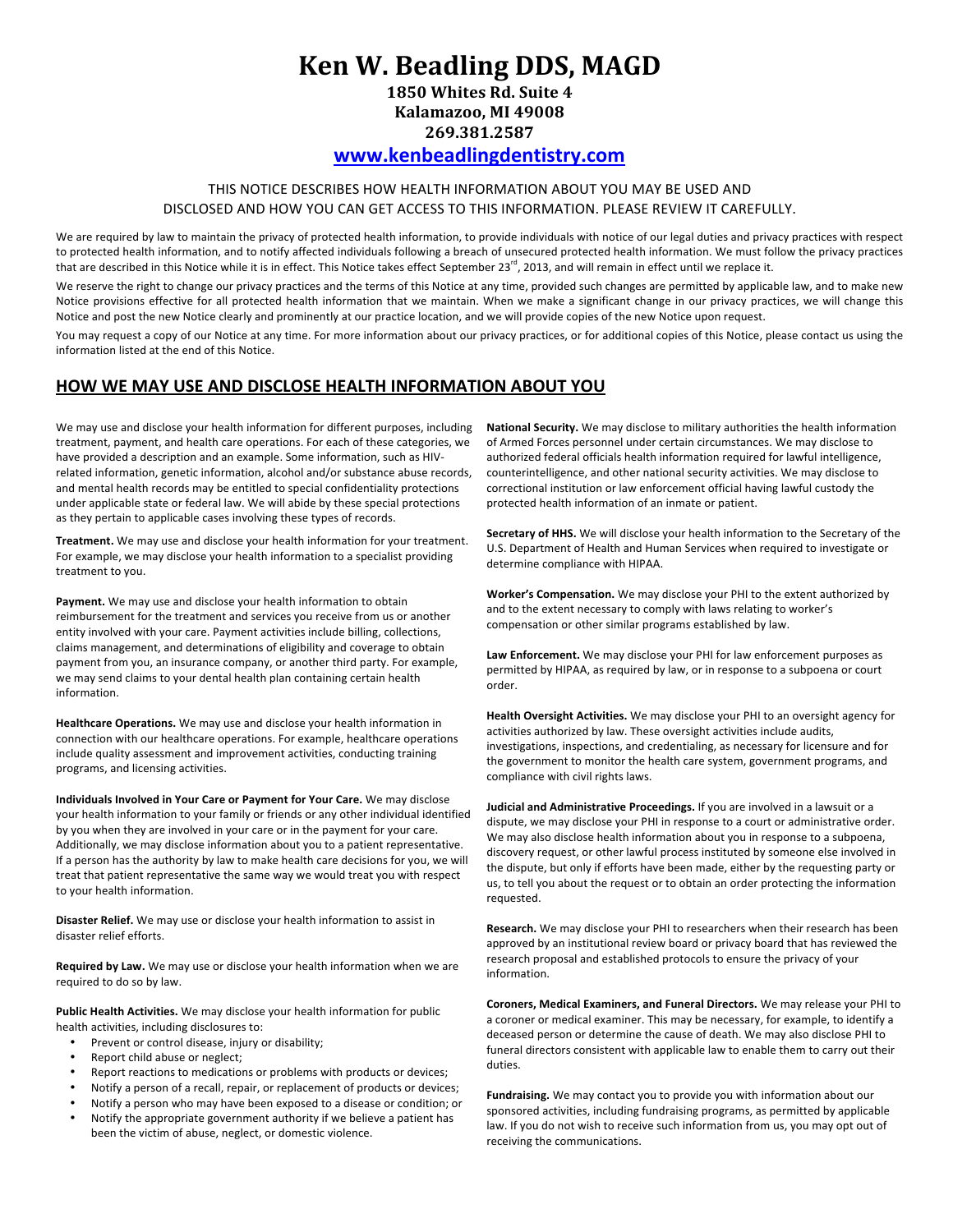# **Ken W. Beadling DDS, MAGD**

**1850 Whites Rd. Suite 4 Kalamazoo, MI 49008 269.381.2587**

## **www.kenbeadlingdentistry.com**

## THIS NOTICE DESCRIBES HOW HEALTH INFORMATION ABOUT YOU MAY BE USED AND DISCLOSED AND HOW YOU CAN GET ACCESS TO THIS INFORMATION. PLEASE REVIEW IT CAREFULLY.

We are required by law to maintain the privacy of protected health information, to provide individuals with notice of our legal duties and privacy practices with respect to protected health information, and to notify affected individuals following a breach of unsecured protected health information. We must follow the privacy practices that are described in this Notice while it is in effect. This Notice takes effect September  $23^{rd}$ , 2013, and will remain in effect until we replace it.

We reserve the right to change our privacy practices and the terms of this Notice at any time, provided such changes are permitted by applicable law, and to make new Notice provisions effective for all protected health information that we maintain. When we make a significant change in our privacy practices, we will change this Notice and post the new Notice clearly and prominently at our practice location, and we will provide copies of the new Notice upon request.

You may request a copy of our Notice at any time. For more information about our privacy practices, or for additional copies of this Notice, please contact us using the information listed at the end of this Notice.

## **HOW WE MAY USE AND DISCLOSE HEALTH INFORMATION ABOUT YOU**

We may use and disclose your health information for different purposes, including treatment, payment, and health care operations. For each of these categories, we have provided a description and an example. Some information, such as HIVrelated information, genetic information, alcohol and/or substance abuse records, and mental health records may be entitled to special confidentiality protections under applicable state or federal law. We will abide by these special protections as they pertain to applicable cases involving these types of records.

Treatment. We may use and disclose your health information for your treatment. For example, we may disclose your health information to a specialist providing treatment to you.

Payment. We may use and disclose your health information to obtain reimbursement for the treatment and services you receive from us or another entity involved with your care. Payment activities include billing, collections, claims management, and determinations of eligibility and coverage to obtain payment from you, an insurance company, or another third party. For example, we may send claims to your dental health plan containing certain health information.

**Healthcare Operations.** We may use and disclose your health information in connection with our healthcare operations. For example, healthcare operations include quality assessment and improvement activities, conducting training programs, and licensing activities.

**Individuals Involved in Your Care or Payment for Your Care.** We may disclose your health information to your family or friends or any other individual identified by you when they are involved in your care or in the payment for your care. Additionally, we may disclose information about you to a patient representative. If a person has the authority by law to make health care decisions for you, we will treat that patient representative the same way we would treat you with respect to your health information.

**Disaster Relief.** We may use or disclose your health information to assist in disaster relief efforts.

**Required by Law.** We may use or disclose your health information when we are required to do so by law.

Public Health Activities. We may disclose your health information for public health activities, including disclosures to:

- Prevent or control disease, injury or disability;
- Report child abuse or neglect;
- Report reactions to medications or problems with products or devices;
- Notify a person of a recall, repair, or replacement of products or devices;
- Notify a person who may have been exposed to a disease or condition; or<br>• Notify the annronriate government authority if we helieve a natient has
- Notify the appropriate government authority if we believe a patient has been the victim of abuse, neglect, or domestic violence.

**National Security.** We may disclose to military authorities the health information of Armed Forces personnel under certain circumstances. We may disclose to authorized federal officials health information required for lawful intelligence, counterintelligence, and other national security activities. We may disclose to correctional institution or law enforcement official having lawful custody the protected health information of an inmate or patient.

**Secretary of HHS.** We will disclose your health information to the Secretary of the U.S. Department of Health and Human Services when required to investigate or determine compliance with HIPAA.

**Worker's Compensation.** We may disclose your PHI to the extent authorized by and to the extent necessary to comply with laws relating to worker's compensation or other similar programs established by law.

Law Enforcement. We may disclose your PHI for law enforcement purposes as permitted by HIPAA, as required by law, or in response to a subpoena or court order.

**Health Oversight Activities.** We may disclose your PHI to an oversight agency for activities authorized by law. These oversight activities include audits, investigations, inspections, and credentialing, as necessary for licensure and for the government to monitor the health care system, government programs, and compliance with civil rights laws.

**Judicial and Administrative Proceedings.** If you are involved in a lawsuit or a dispute, we may disclose your PHI in response to a court or administrative order. We may also disclose health information about you in response to a subpoena, discovery request, or other lawful process instituted by someone else involved in the dispute, but only if efforts have been made, either by the requesting party or us, to tell you about the request or to obtain an order protecting the information requested.

**Research.** We may disclose your PHI to researchers when their research has been approved by an institutional review board or privacy board that has reviewed the research proposal and established protocols to ensure the privacy of your information.

**Coroners, Medical Examiners, and Funeral Directors.** We may release your PHI to a coroner or medical examiner. This may be necessary, for example, to identify a deceased person or determine the cause of death. We may also disclose PHI to funeral directors consistent with applicable law to enable them to carry out their duties.

Fundraising. We may contact you to provide you with information about our sponsored activities, including fundraising programs, as permitted by applicable law. If you do not wish to receive such information from us, you may opt out of receiving the communications.